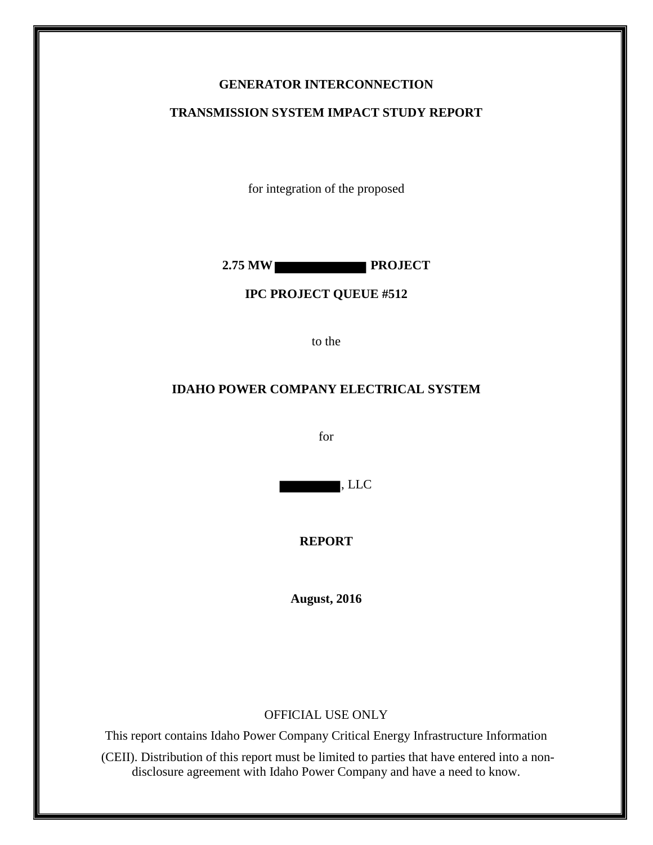## **GENERATOR INTERCONNECTION**

#### **TRANSMISSION SYSTEM IMPACT STUDY REPORT**

for integration of the proposed

2.75 MW

#### **IPC PROJECT QUEUE #512**

to the

#### **IDAHO POWER COMPANY ELECTRICAL SYSTEM**

for

, LLC

**REPORT** 

**August, 2016**

#### OFFICIAL USE ONLY

This report contains Idaho Power Company Critical Energy Infrastructure Information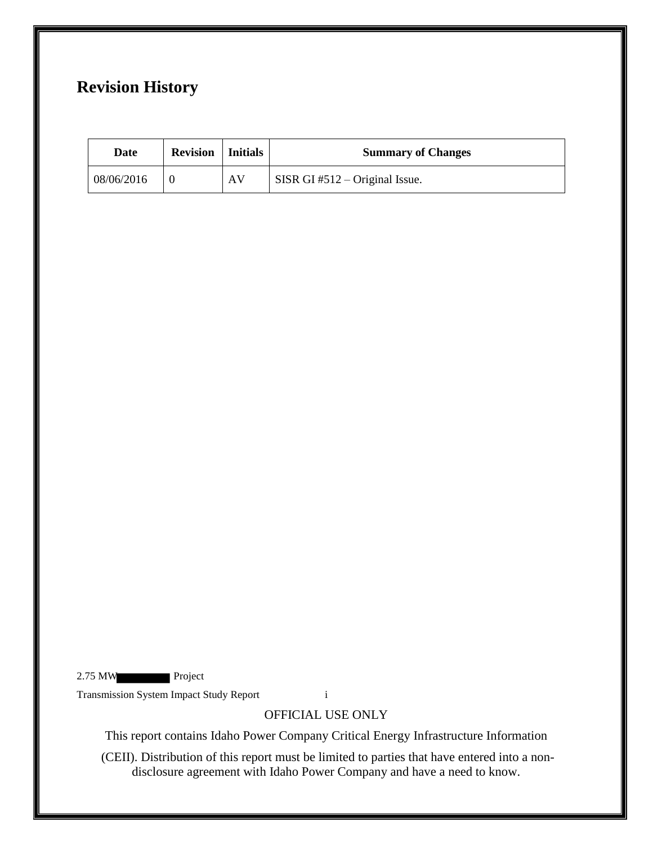# **Revision History**

| Date       | <b>Revision</b>   Initials |    | <b>Summary of Changes</b>      |
|------------|----------------------------|----|--------------------------------|
| 08/06/2016 |                            | AV | SISR GI #512 – Original Issue. |

2.75 MW Project

Transmission System Impact Study Report i

## OFFICIAL USE ONLY

This report contains Idaho Power Company Critical Energy Infrastructure Information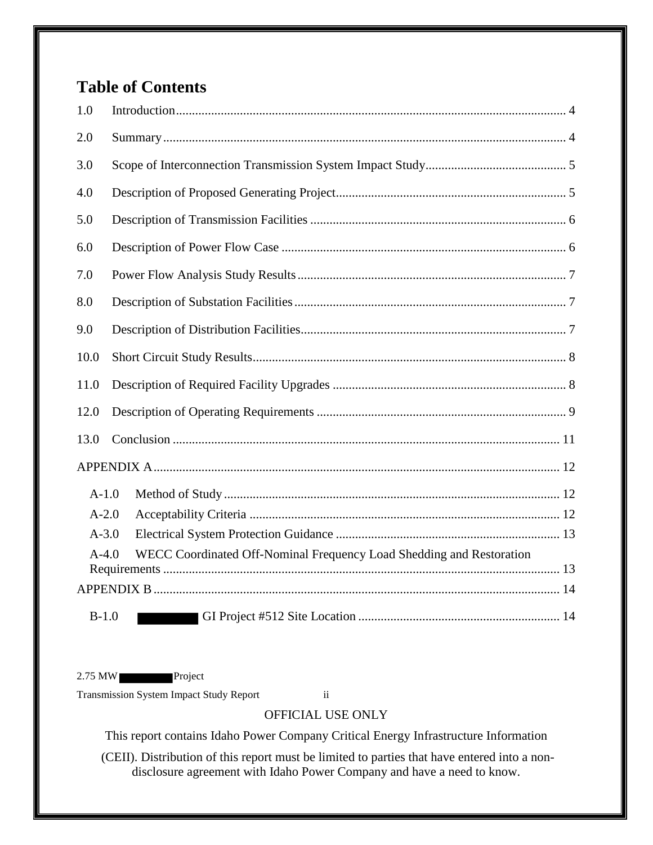# **Table of Contents**

| 1.0     |                                                                      |
|---------|----------------------------------------------------------------------|
| 2.0     |                                                                      |
| 3.0     |                                                                      |
| 4.0     |                                                                      |
| 5.0     |                                                                      |
| 6.0     |                                                                      |
| 7.0     |                                                                      |
| 8.0     |                                                                      |
| 9.0     |                                                                      |
| 10.0    |                                                                      |
| 11.0    |                                                                      |
| 12.0    |                                                                      |
| 13.0    |                                                                      |
|         |                                                                      |
| $A-1.0$ |                                                                      |
| $A-2.0$ |                                                                      |
| $A-3.0$ |                                                                      |
| $A-4.0$ | WECC Coordinated Off-Nominal Frequency Load Shedding and Restoration |
|         |                                                                      |
|         |                                                                      |
| $B-1.0$ |                                                                      |

2.75 MW Project

Transmission System Impact Study Report ii

# OFFICIAL USE ONLY

This report contains Idaho Power Company Critical Energy Infrastructure Information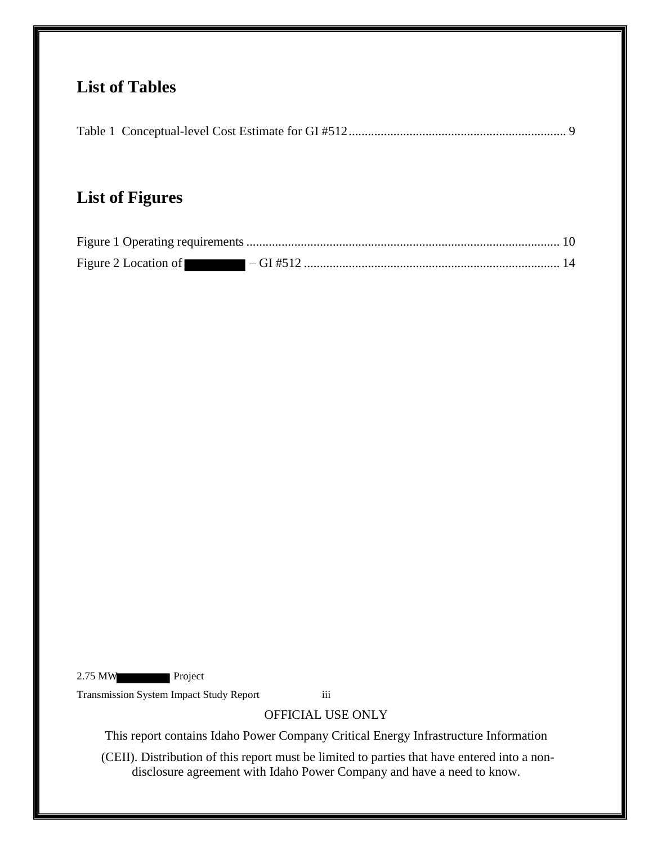# **List of Tables**

# **List of Figures**

2.75 MW Project

Transmission System Impact Study Report iii

# OFFICIAL USE ONLY

This report contains Idaho Power Company Critical Energy Infrastructure Information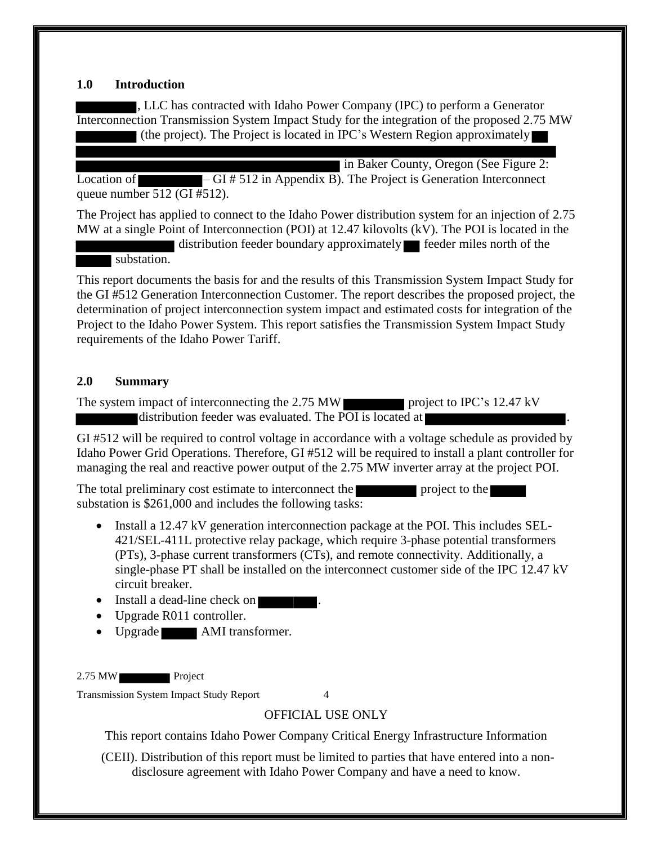#### <span id="page-4-0"></span>**1.0 Introduction**

, LLC has contracted with Idaho Power Company (IPC) to perform a Generator Interconnection Transmission System Impact Study for the integration of the proposed 2.75 MW (the project). The Project is located in IPC's Western Region approximately

I in Baker County, Oregon (See Figure 2: Location of  $\overline{\hspace{1cm}}$  – GI # 512 in Appendix B). The Project is Generation Interconnect queue number 512 (GI #512).

The Project has applied to connect to the Idaho Power distribution system for an injection of 2.75 MW at a single Point of Interconnection (POI) at 12.47 kilovolts (kV). The POI is located in the

distribution feeder boundary approximately feeder miles north of the substation.

This report documents the basis for and the results of this Transmission System Impact Study for the GI #512 Generation Interconnection Customer. The report describes the proposed project, the determination of project interconnection system impact and estimated costs for integration of the Project to the Idaho Power System. This report satisfies the Transmission System Impact Study requirements of the Idaho Power Tariff.

### <span id="page-4-1"></span>**2.0 Summary**

The system impact of interconnecting the 2.75 MW project to IPC's 12.47 kV distribution feeder was evaluated. The POI is located at  $\blacksquare$ 

GI #512 will be required to control voltage in accordance with a voltage schedule as provided by Idaho Power Grid Operations. Therefore, GI #512 will be required to install a plant controller for managing the real and reactive power output of the 2.75 MW inverter array at the project POI.

The total preliminary cost estimate to interconnect the project to the substation is \$261,000 and includes the following tasks:

- Install a 12.47 kV generation interconnection package at the POI. This includes SEL-421/SEL-411L protective relay package, which require 3-phase potential transformers (PTs), 3-phase current transformers (CTs), and remote connectivity. Additionally, a single-phase PT shall be installed on the interconnect customer side of the IPC 12.47 kV circuit breaker.
- Install a dead-line check on
- Upgrade R011 controller.
- Upgrade AMI transformer.

2.75 MW Project

Transmission System Impact Study Report 4

# OFFICIAL USE ONLY

This report contains Idaho Power Company Critical Energy Infrastructure Information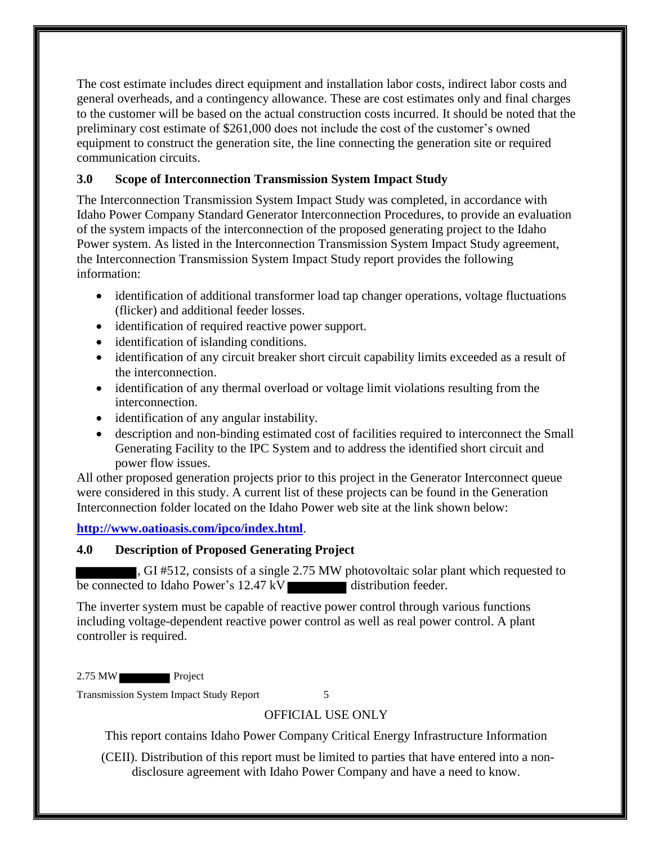The cost estimate includes direct equipment and installation labor costs, indirect labor costs and general overheads, and a contingency allowance. These are cost estimates only and final charges to the customer will be based on the actual construction costs incurred. It should be noted that the preliminary cost estimate of \$261,000 does not include the cost of the customer's owned equipment to construct the generation site, the line connecting the generation site or required communication circuits.

# <span id="page-5-0"></span>**3.0 Scope of Interconnection Transmission System Impact Study**

The Interconnection Transmission System Impact Study was completed, in accordance with Idaho Power Company Standard Generator Interconnection Procedures, to provide an evaluation of the system impacts of the interconnection of the proposed generating project to the Idaho Power system. As listed in the Interconnection Transmission System Impact Study agreement, the Interconnection Transmission System Impact Study report provides the following information:

- identification of additional transformer load tap changer operations, voltage fluctuations (flicker) and additional feeder losses.
- identification of required reactive power support.
- identification of islanding conditions.
- identification of any circuit breaker short circuit capability limits exceeded as a result of the interconnection.
- identification of any thermal overload or voltage limit violations resulting from the interconnection.
- identification of any angular instability.
- description and non-binding estimated cost of facilities required to interconnect the Small Generating Facility to the IPC System and to address the identified short circuit and power flow issues.

All other proposed generation projects prior to this project in the Generator Interconnect queue were considered in this study. A current list of these projects can be found in the Generation Interconnection folder located on the Idaho Power web site at the link shown below:

**<http://www.oatioasis.com/ipco/index.html>**.

### <span id="page-5-1"></span>**4.0 Description of Proposed Generating Project**

, GI #512, consists of a single 2.75 MW photovoltaic solar plant which requested to be connected to Idaho Power's 12.47 kV distribution feeder.

The inverter system must be capable of reactive power control through various functions including voltage-dependent reactive power control as well as real power control. A plant controller is required.

2.75 MW

Transmission System Impact Study Report 5

# OFFICIAL USE ONLY

This report contains Idaho Power Company Critical Energy Infrastructure Information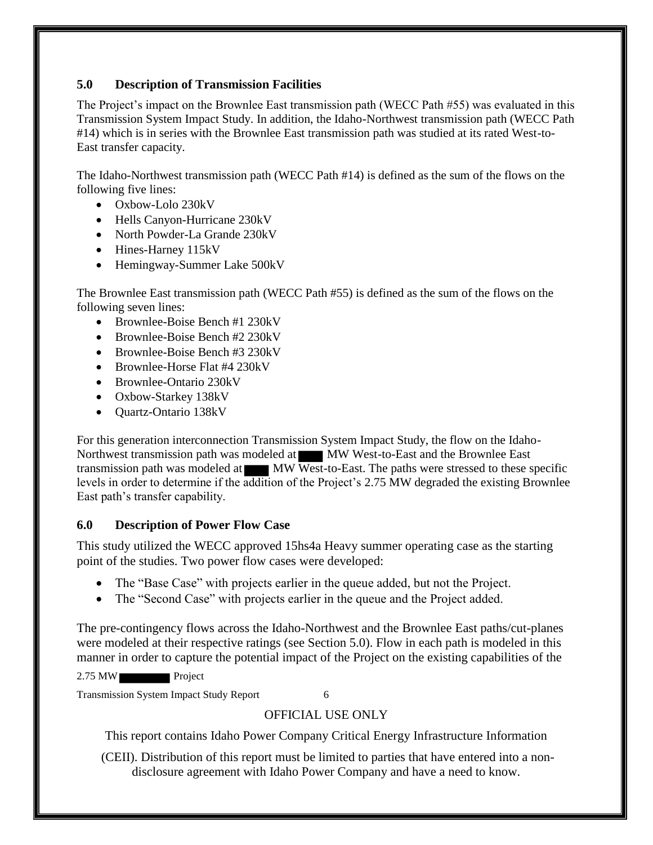## <span id="page-6-0"></span>**5.0 Description of Transmission Facilities**

The Project's impact on the Brownlee East transmission path (WECC Path #55) was evaluated in this Transmission System Impact Study. In addition, the Idaho-Northwest transmission path (WECC Path #14) which is in series with the Brownlee East transmission path was studied at its rated West-to-East transfer capacity.

The Idaho-Northwest transmission path (WECC Path #14) is defined as the sum of the flows on the following five lines:

- Oxbow-Lolo 230kV
- Hells Canyon-Hurricane 230kV
- North Powder-La Grande 230kV
- Hines-Harney 115kV
- Hemingway-Summer Lake 500kV

The Brownlee East transmission path (WECC Path #55) is defined as the sum of the flows on the following seven lines:

- Brownlee-Boise Bench #1 230kV
- Brownlee-Boise Bench #2 230kV
- Brownlee-Boise Bench #3 230kV
- Brownlee-Horse Flat #4 230kV
- Brownlee-Ontario 230kV
- Oxbow-Starkey 138kV
- Ouartz-Ontario 138kV

For this generation interconnection Transmission System Impact Study, the flow on the Idaho-Northwest transmission path was modeled at MW West-to-East and the Brownlee East transmission path was modeled at MW West-to-East. The paths were stressed to these specific levels in order to determine if the addition of the Project's 2.75 MW degraded the existing Brownlee East path's transfer capability.

# <span id="page-6-1"></span>**6.0 Description of Power Flow Case**

This study utilized the WECC approved 15hs4a Heavy summer operating case as the starting point of the studies. Two power flow cases were developed:

- The "Base Case" with projects earlier in the queue added, but not the Project.
- The "Second Case" with projects earlier in the queue and the Project added.

The pre-contingency flows across the Idaho-Northwest and the Brownlee East paths/cut-planes were modeled at their respective ratings (see Section 5.0). Flow in each path is modeled in this manner in order to capture the potential impact of the Project on the existing capabilities of the

2.75 MW Project

Transmission System Impact Study Report 6

# OFFICIAL USE ONLY

This report contains Idaho Power Company Critical Energy Infrastructure Information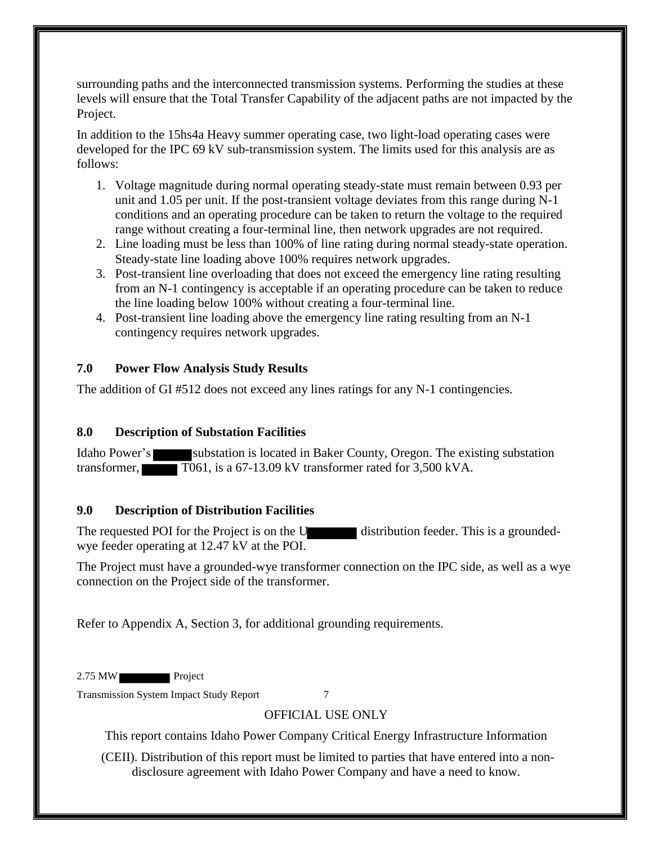surrounding paths and the interconnected transmission systems. Performing the studies at these levels will ensure that the Total Transfer Capability of the adjacent paths are not impacted by the Project.

In addition to the 15hs4a Heavy summer operating case, two light-load operating cases were developed for the IPC 69 kV sub-transmission system. The limits used for this analysis are as follows:

- 1. Voltage magnitude during normal operating steady-state must remain between 0.93 per unit and 1.05 per unit. If the post-transient voltage deviates from this range during N-1 conditions and an operating procedure can be taken to return the voltage to the required range without creating a four-terminal line, then network upgrades are not required.
- 2. Line loading must be less than 100% of line rating during normal steady-state operation. Steady-state line loading above 100% requires network upgrades.
- 3. Post-transient line overloading that does not exceed the emergency line rating resulting from an N-1 contingency is acceptable if an operating procedure can be taken to reduce the line loading below 100% without creating a four-terminal line.
- 4. Post-transient line loading above the emergency line rating resulting from an N-1 contingency requires network upgrades.

## <span id="page-7-0"></span>**7.0 Power Flow Analysis Study Results**

The addition of GI #512 does not exceed any lines ratings for any N-1 contingencies.

# <span id="page-7-1"></span>**8.0 Description of Substation Facilities**

Idaho Power's substation is located in Baker County, Oregon. The existing substation transformer, T061, is a 67-13.09 kV transformer rated for 3,500 kVA.

### <span id="page-7-2"></span>**9.0 Description of Distribution Facilities**

The requested POI for the Project is on the U distribution feeder. This is a groundedwye feeder operating at 12.47 kV at the POI.

The Project must have a grounded-wye transformer connection on the IPC side, as well as a wye connection on the Project side of the transformer.

Refer to Appendix A, Section 3, for additional grounding requirements.

2.75 MW Project

Transmission System Impact Study Report 7

# OFFICIAL USE ONLY

This report contains Idaho Power Company Critical Energy Infrastructure Information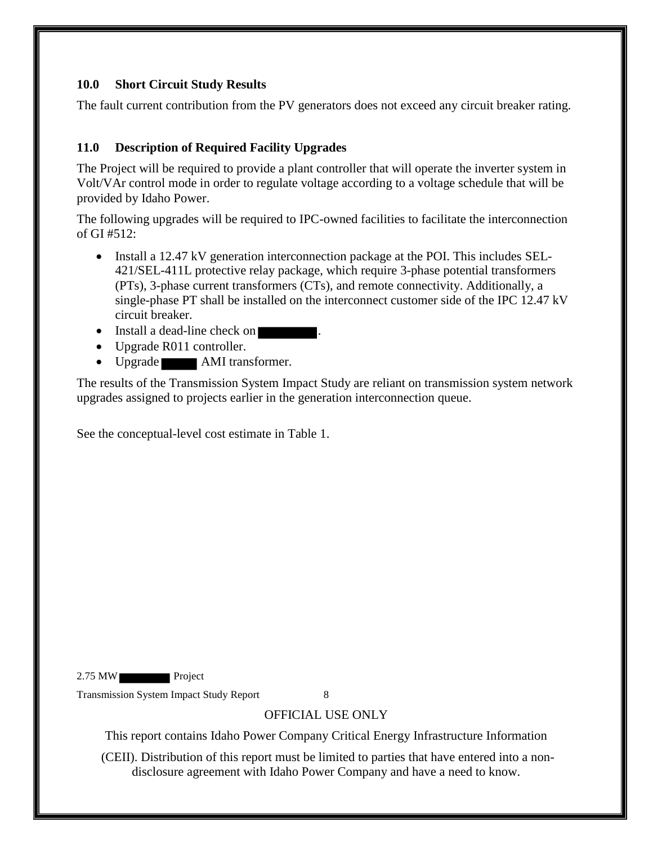## <span id="page-8-0"></span>**10.0 Short Circuit Study Results**

The fault current contribution from the PV generators does not exceed any circuit breaker rating.

### <span id="page-8-1"></span>**11.0 Description of Required Facility Upgrades**

The Project will be required to provide a plant controller that will operate the inverter system in Volt/VAr control mode in order to regulate voltage according to a voltage schedule that will be provided by Idaho Power.

The following upgrades will be required to IPC-owned facilities to facilitate the interconnection of GI #512:

- Install a 12.47 kV generation interconnection package at the POI. This includes SEL-421/SEL-411L protective relay package, which require 3-phase potential transformers (PTs), 3-phase current transformers (CTs), and remote connectivity. Additionally, a single-phase PT shall be installed on the interconnect customer side of the IPC 12.47 kV circuit breaker.
- Install a dead-line check on
- Upgrade R011 controller.
- Upgrade **AMI** transformer.

The results of the Transmission System Impact Study are reliant on transmission system network upgrades assigned to projects earlier in the generation interconnection queue.

See the conceptual-level cost estimate in Table 1.

2.75 MW Project

Transmission System Impact Study Report 8

# OFFICIAL USE ONLY

This report contains Idaho Power Company Critical Energy Infrastructure Information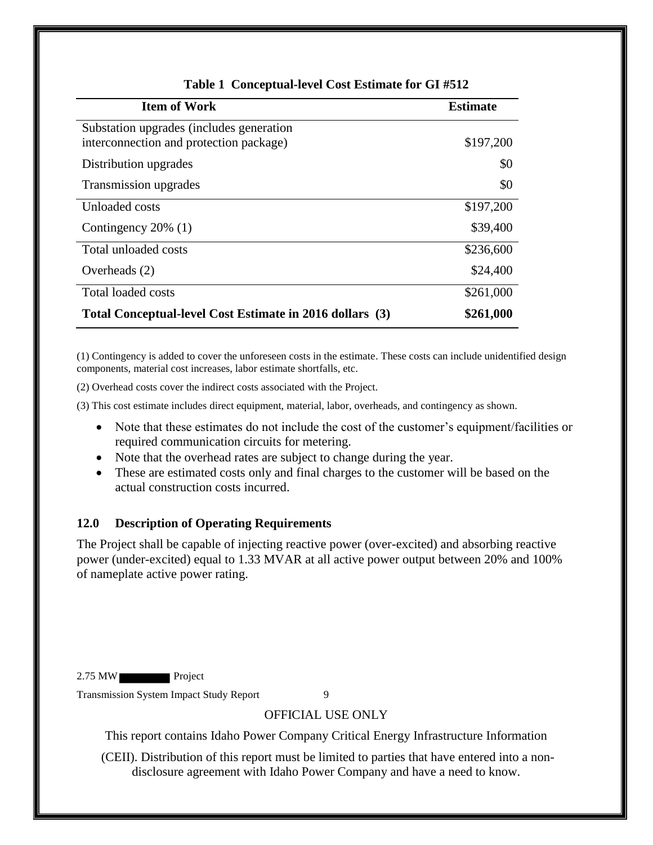<span id="page-9-1"></span>

| <b>Item of Work</b>                                                                 | <b>Estimate</b> |
|-------------------------------------------------------------------------------------|-----------------|
| Substation upgrades (includes generation<br>interconnection and protection package) | \$197,200       |
| Distribution upgrades                                                               | \$0             |
| Transmission upgrades                                                               | \$0             |
| Unloaded costs                                                                      | \$197,200       |
| Contingency $20\%$ (1)                                                              | \$39,400        |
| Total unloaded costs                                                                | \$236,600       |
| Overheads $(2)$                                                                     | \$24,400        |
| Total loaded costs                                                                  | \$261,000       |
| Total Conceptual-level Cost Estimate in 2016 dollars (3)                            | \$261,000       |

#### **Table 1 Conceptual-level Cost Estimate for GI #512**

(1) Contingency is added to cover the unforeseen costs in the estimate. These costs can include unidentified design components, material cost increases, labor estimate shortfalls, etc.

(2) Overhead costs cover the indirect costs associated with the Project.

(3) This cost estimate includes direct equipment, material, labor, overheads, and contingency as shown.

- Note that these estimates do not include the cost of the customer's equipment/facilities or required communication circuits for metering.
- Note that the overhead rates are subject to change during the year.
- These are estimated costs only and final charges to the customer will be based on the actual construction costs incurred.

#### <span id="page-9-0"></span>**12.0 Description of Operating Requirements**

The Project shall be capable of injecting reactive power (over-excited) and absorbing reactive power (under-excited) equal to 1.33 MVAR at all active power output between 20% and 100% of nameplate active power rating.

2.75 MW Project

Transmission System Impact Study Report 9

#### OFFICIAL USE ONLY

This report contains Idaho Power Company Critical Energy Infrastructure Information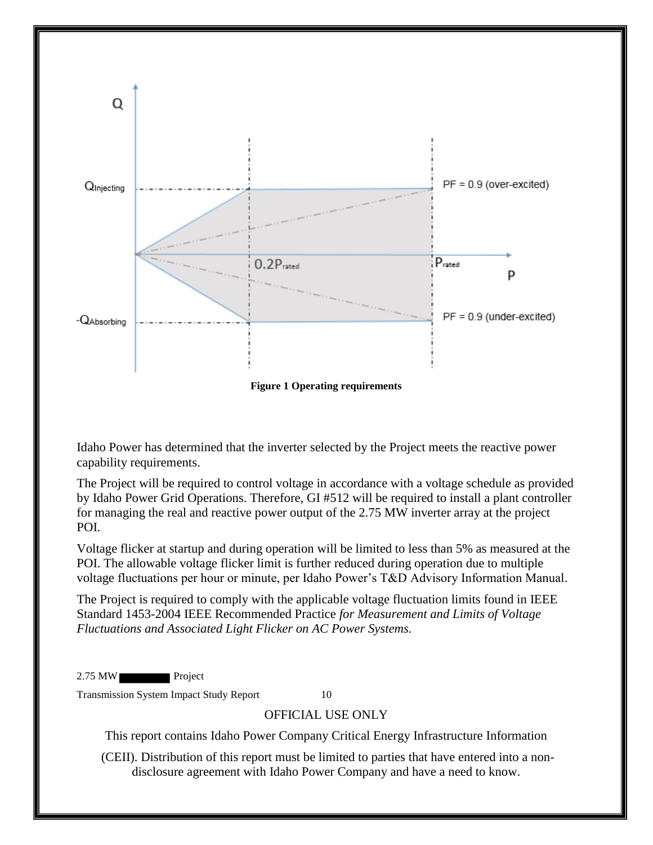

**Figure 1 Operating requirements** 

<span id="page-10-0"></span>Idaho Power has determined that the inverter selected by the Project meets the reactive power capability requirements.

The Project will be required to control voltage in accordance with a voltage schedule as provided by Idaho Power Grid Operations. Therefore, GI #512 will be required to install a plant controller for managing the real and reactive power output of the 2.75 MW inverter array at the project POI.

Voltage flicker at startup and during operation will be limited to less than 5% as measured at the POI. The allowable voltage flicker limit is further reduced during operation due to multiple voltage fluctuations per hour or minute, per Idaho Power's T&D Advisory Information Manual.

The Project is required to comply with the applicable voltage fluctuation limits found in IEEE Standard 1453-2004 IEEE Recommended Practice *for Measurement and Limits of Voltage Fluctuations and Associated Light Flicker on AC Power Systems.* 

2.75 MW Project

Transmission System Impact Study Report 10

#### OFFICIAL USE ONLY

This report contains Idaho Power Company Critical Energy Infrastructure Information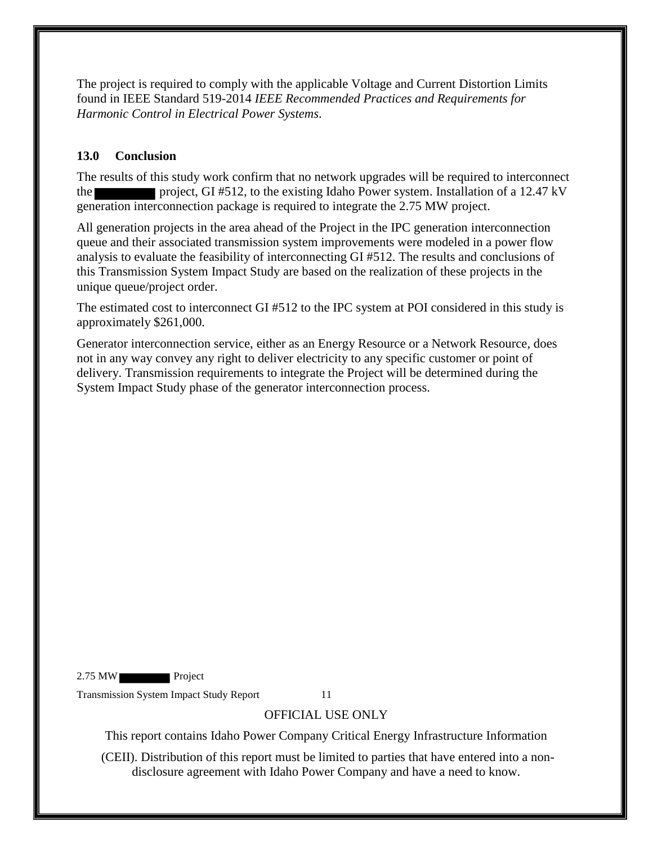The project is required to comply with the applicable Voltage and Current Distortion Limits found in IEEE Standard 519-2014 *IEEE Recommended Practices and Requirements for Harmonic Control in Electrical Power Systems*.

## <span id="page-11-0"></span>**13.0 Conclusion**

The results of this study work confirm that no network upgrades will be required to interconnect the project, GI #512, to the existing Idaho Power system. Installation of a 12.47 kV generation interconnection package is required to integrate the 2.75 MW project.

All generation projects in the area ahead of the Project in the IPC generation interconnection queue and their associated transmission system improvements were modeled in a power flow analysis to evaluate the feasibility of interconnecting GI #512. The results and conclusions of this Transmission System Impact Study are based on the realization of these projects in the unique queue/project order.

The estimated cost to interconnect GI #512 to the IPC system at POI considered in this study is approximately \$261,000.

Generator interconnection service, either as an Energy Resource or a Network Resource, does not in any way convey any right to deliver electricity to any specific customer or point of delivery. Transmission requirements to integrate the Project will be determined during the System Impact Study phase of the generator interconnection process.

2.75 MW Project

Transmission System Impact Study Report 11

# OFFICIAL USE ONLY

This report contains Idaho Power Company Critical Energy Infrastructure Information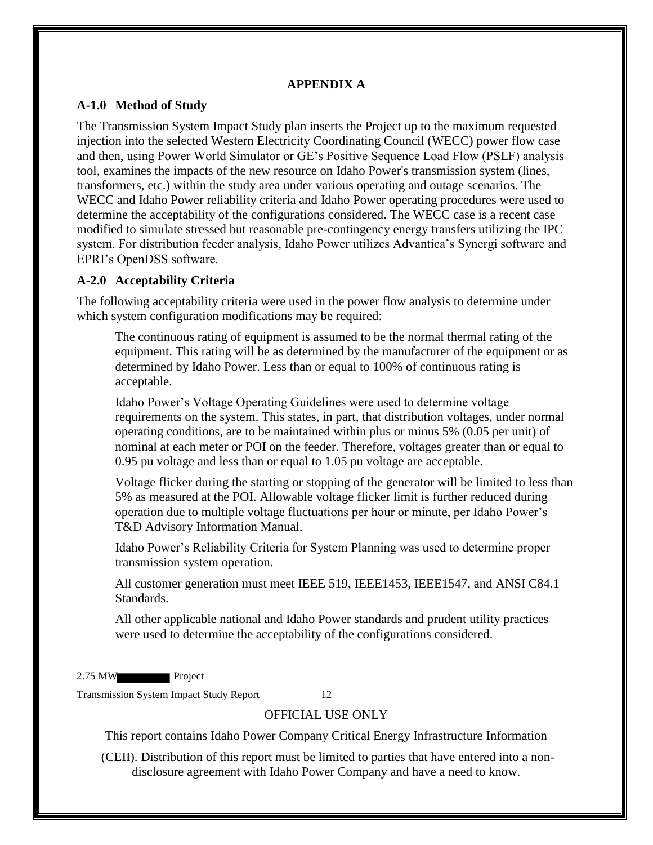#### **APPENDIX A**

#### <span id="page-12-1"></span><span id="page-12-0"></span>**A-1.0 Method of Study**

The Transmission System Impact Study plan inserts the Project up to the maximum requested injection into the selected Western Electricity Coordinating Council (WECC) power flow case and then, using Power World Simulator or GE's Positive Sequence Load Flow (PSLF) analysis tool, examines the impacts of the new resource on Idaho Power's transmission system (lines, transformers, etc.) within the study area under various operating and outage scenarios. The WECC and Idaho Power reliability criteria and Idaho Power operating procedures were used to determine the acceptability of the configurations considered. The WECC case is a recent case modified to simulate stressed but reasonable pre-contingency energy transfers utilizing the IPC system. For distribution feeder analysis, Idaho Power utilizes Advantica's Synergi software and EPRI's OpenDSS software.

#### <span id="page-12-2"></span>**A-2.0 Acceptability Criteria**

The following acceptability criteria were used in the power flow analysis to determine under which system configuration modifications may be required:

The continuous rating of equipment is assumed to be the normal thermal rating of the equipment. This rating will be as determined by the manufacturer of the equipment or as determined by Idaho Power. Less than or equal to 100% of continuous rating is acceptable.

Idaho Power's Voltage Operating Guidelines were used to determine voltage requirements on the system. This states, in part, that distribution voltages, under normal operating conditions, are to be maintained within plus or minus 5% (0.05 per unit) of nominal at each meter or POI on the feeder. Therefore, voltages greater than or equal to 0.95 pu voltage and less than or equal to 1.05 pu voltage are acceptable.

Voltage flicker during the starting or stopping of the generator will be limited to less than 5% as measured at the POI. Allowable voltage flicker limit is further reduced during operation due to multiple voltage fluctuations per hour or minute, per Idaho Power's T&D Advisory Information Manual.

Idaho Power's Reliability Criteria for System Planning was used to determine proper transmission system operation.

All customer generation must meet IEEE 519, IEEE1453, IEEE1547, and ANSI C84.1 Standards.

All other applicable national and Idaho Power standards and prudent utility practices were used to determine the acceptability of the configurations considered.

2.75 MW Project

Transmission System Impact Study Report 12

### OFFICIAL USE ONLY

This report contains Idaho Power Company Critical Energy Infrastructure Information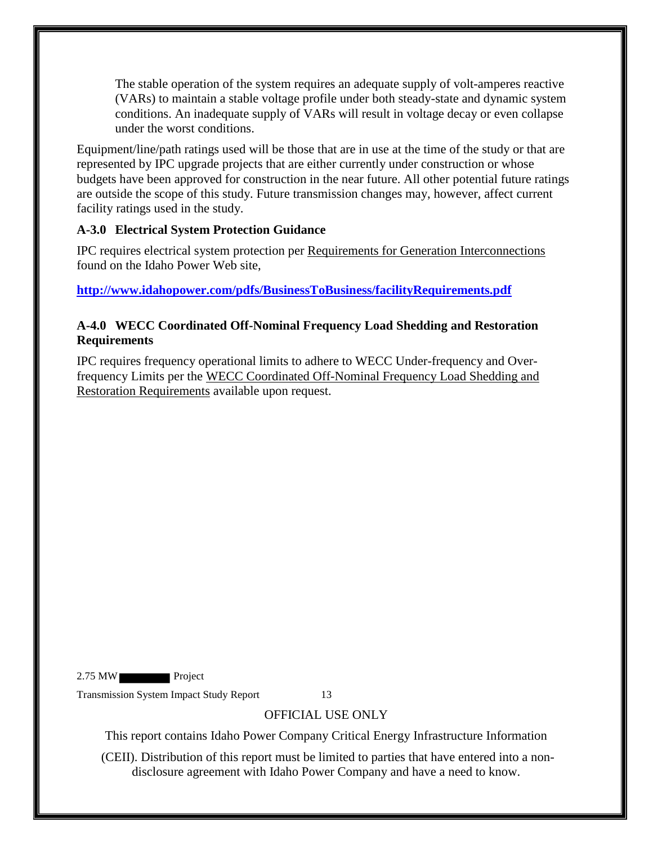The stable operation of the system requires an adequate supply of volt-amperes reactive (VARs) to maintain a stable voltage profile under both steady-state and dynamic system conditions. An inadequate supply of VARs will result in voltage decay or even collapse under the worst conditions.

Equipment/line/path ratings used will be those that are in use at the time of the study or that are represented by IPC upgrade projects that are either currently under construction or whose budgets have been approved for construction in the near future. All other potential future ratings are outside the scope of this study. Future transmission changes may, however, affect current facility ratings used in the study.

## <span id="page-13-0"></span>**A-3.0 Electrical System Protection Guidance**

IPC requires electrical system protection per Requirements for Generation Interconnections found on the Idaho Power Web site,

**<http://www.idahopower.com/pdfs/BusinessToBusiness/facilityRequirements.pdf>**

## <span id="page-13-1"></span>**A-4.0 WECC Coordinated Off-Nominal Frequency Load Shedding and Restoration Requirements**

IPC requires frequency operational limits to adhere to WECC Under-frequency and Overfrequency Limits per the WECC Coordinated Off-Nominal Frequency Load Shedding and Restoration Requirements available upon request.

2.75 MW Project

Transmission System Impact Study Report 13

# OFFICIAL USE ONLY

This report contains Idaho Power Company Critical Energy Infrastructure Information